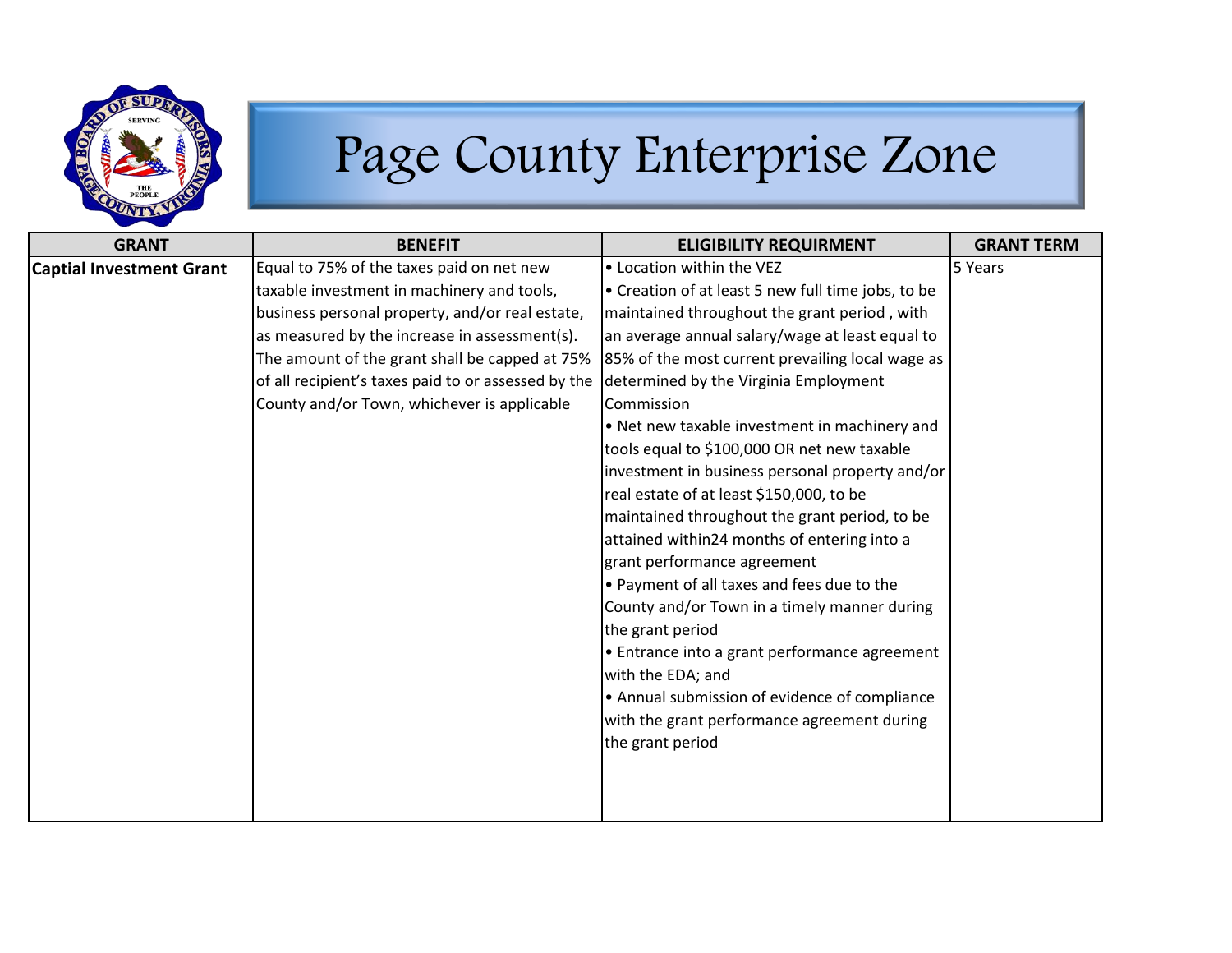

## Page County Enterprise Zone

| <b>GRANT</b>                    | <b>BENEFIT</b>                                      | <b>ELIGIBILITY REQUIRMENT</b>                      | <b>GRANT TERM</b> |
|---------------------------------|-----------------------------------------------------|----------------------------------------------------|-------------------|
| <b>Captial Investment Grant</b> | Equal to 75% of the taxes paid on net new           | • Location within the VEZ                          | 5 Years           |
|                                 | taxable investment in machinery and tools,          | • Creation of at least 5 new full time jobs, to be |                   |
|                                 | business personal property, and/or real estate,     | maintained throughout the grant period, with       |                   |
|                                 | as measured by the increase in assessment(s).       | an average annual salary/wage at least equal to    |                   |
|                                 | The amount of the grant shall be capped at 75%      | 85% of the most current prevailing local wage as   |                   |
|                                 | of all recipient's taxes paid to or assessed by the | determined by the Virginia Employment              |                   |
|                                 | County and/or Town, whichever is applicable         | Commission                                         |                   |
|                                 |                                                     | . Net new taxable investment in machinery and      |                   |
|                                 |                                                     | tools equal to \$100,000 OR net new taxable        |                   |
|                                 |                                                     | investment in business personal property and/or    |                   |
|                                 |                                                     | real estate of at least \$150,000, to be           |                   |
|                                 |                                                     | maintained throughout the grant period, to be      |                   |
|                                 |                                                     | attained within24 months of entering into a        |                   |
|                                 |                                                     | grant performance agreement                        |                   |
|                                 |                                                     | • Payment of all taxes and fees due to the         |                   |
|                                 |                                                     | County and/or Town in a timely manner during       |                   |
|                                 |                                                     | the grant period                                   |                   |
|                                 |                                                     | • Entrance into a grant performance agreement      |                   |
|                                 |                                                     | with the EDA; and                                  |                   |
|                                 |                                                     | • Annual submission of evidence of compliance      |                   |
|                                 |                                                     | with the grant performance agreement during        |                   |
|                                 |                                                     | the grant period                                   |                   |
|                                 |                                                     |                                                    |                   |
|                                 |                                                     |                                                    |                   |
|                                 |                                                     |                                                    |                   |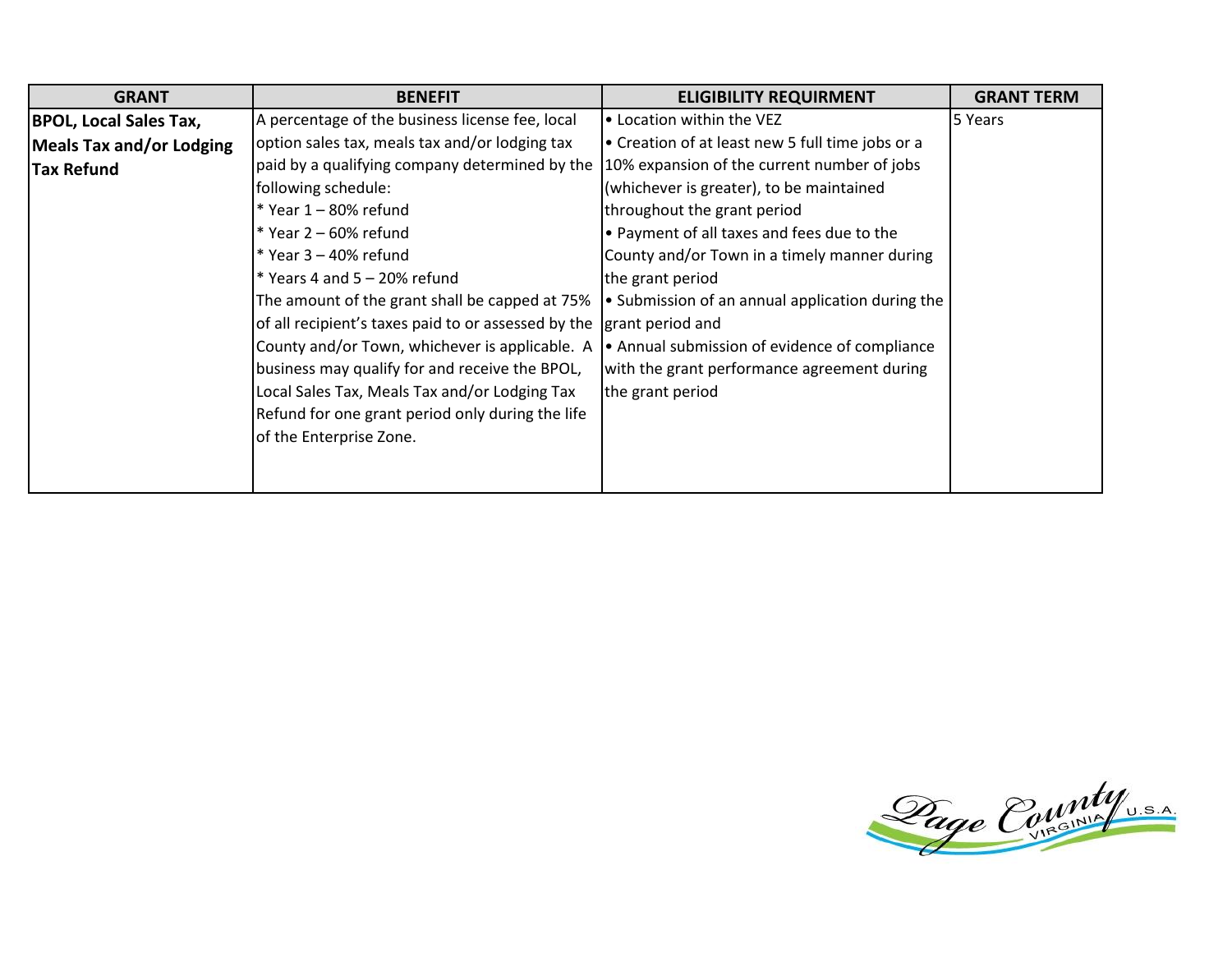| <b>GRANT</b>                    | <b>BENEFIT</b>                                                       | <b>ELIGIBILITY REQUIRMENT</b>                    | <b>GRANT TERM</b> |
|---------------------------------|----------------------------------------------------------------------|--------------------------------------------------|-------------------|
| <b>BPOL, Local Sales Tax,</b>   | A percentage of the business license fee, local                      | • Location within the VEZ                        | 5 Years           |
| <b>Meals Tax and/or Lodging</b> | option sales tax, meals tax and/or lodging tax                       | • Creation of at least new 5 full time jobs or a |                   |
| <b>Tax Refund</b>               | paid by a qualifying company determined by the                       | 10% expansion of the current number of jobs      |                   |
|                                 | following schedule:                                                  | (whichever is greater), to be maintained         |                   |
|                                 | $*$ Year 1 - 80% refund                                              | throughout the grant period                      |                   |
|                                 | $*$ Year 2 – 60% refund                                              | • Payment of all taxes and fees due to the       |                   |
|                                 | $*$ Year 3 – 40% refund                                              | County and/or Town in a timely manner during     |                   |
|                                 | $*$ Years 4 and 5 - 20% refund                                       | the grant period                                 |                   |
|                                 | The amount of the grant shall be capped at 75%                       | • Submission of an annual application during the |                   |
|                                 | of all recipient's taxes paid to or assessed by the grant period and |                                                  |                   |
|                                 | County and/or Town, whichever is applicable. A                       | • Annual submission of evidence of compliance    |                   |
|                                 | business may qualify for and receive the BPOL,                       | with the grant performance agreement during      |                   |
|                                 | Local Sales Tax, Meals Tax and/or Lodging Tax                        | the grant period                                 |                   |
|                                 | Refund for one grant period only during the life                     |                                                  |                   |
|                                 | of the Enterprise Zone.                                              |                                                  |                   |
|                                 |                                                                      |                                                  |                   |
|                                 |                                                                      |                                                  |                   |

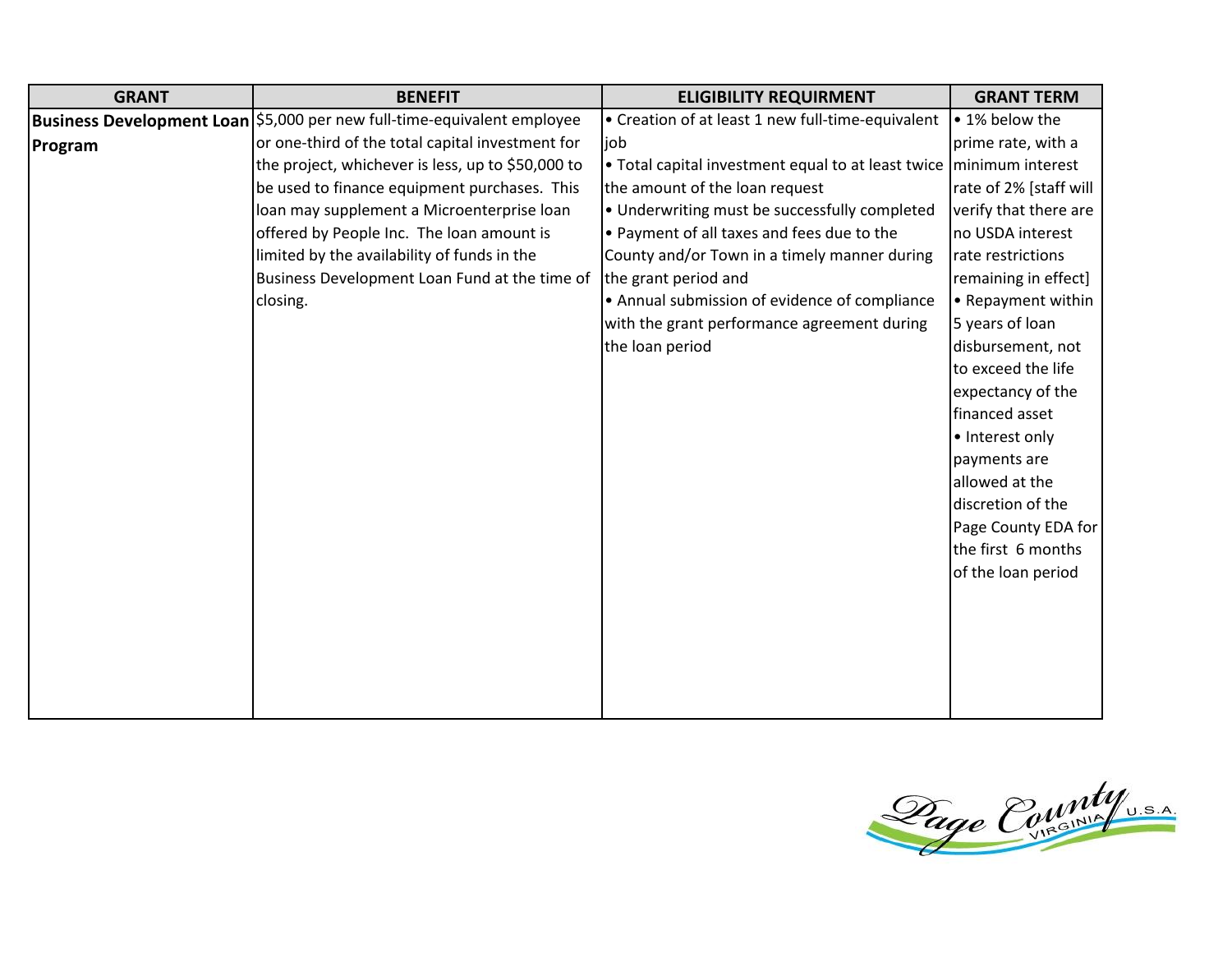| <b>GRANT</b> | <b>BENEFIT</b>                                                            | <b>ELIGIBILITY REQUIRMENT</b>                                         | <b>GRANT TERM</b>      |
|--------------|---------------------------------------------------------------------------|-----------------------------------------------------------------------|------------------------|
|              | Business Development Loan   \$5,000 per new full-time-equivalent employee | • Creation of at least 1 new full-time-equivalent                     | • 1% below the         |
| Program      | or one-third of the total capital investment for                          | job                                                                   | prime rate, with a     |
|              | the project, whichever is less, up to \$50,000 to                         | • Total capital investment equal to at least twice   minimum interest |                        |
|              | be used to finance equipment purchases. This                              | the amount of the loan request                                        | rate of 2% [staff will |
|              | loan may supplement a Microenterprise loan                                | • Underwriting must be successfully completed                         | verify that there are  |
|              | offered by People Inc. The loan amount is                                 | . Payment of all taxes and fees due to the                            | no USDA interest       |
|              | limited by the availability of funds in the                               | County and/or Town in a timely manner during                          | rate restrictions      |
|              | Business Development Loan Fund at the time of                             | the grant period and                                                  | remaining in effect]   |
|              | closing.                                                                  | • Annual submission of evidence of compliance                         | • Repayment within     |
|              |                                                                           | with the grant performance agreement during                           | 5 years of loan        |
|              |                                                                           | the loan period                                                       | disbursement, not      |
|              |                                                                           |                                                                       | to exceed the life     |
|              |                                                                           |                                                                       | expectancy of the      |
|              |                                                                           |                                                                       | financed asset         |
|              |                                                                           |                                                                       | • Interest only        |
|              |                                                                           |                                                                       | payments are           |
|              |                                                                           |                                                                       | allowed at the         |
|              |                                                                           |                                                                       | discretion of the      |
|              |                                                                           |                                                                       | Page County EDA for    |
|              |                                                                           |                                                                       | the first 6 months     |
|              |                                                                           |                                                                       | of the loan period     |
|              |                                                                           |                                                                       |                        |
|              |                                                                           |                                                                       |                        |
|              |                                                                           |                                                                       |                        |
|              |                                                                           |                                                                       |                        |
|              |                                                                           |                                                                       |                        |
|              |                                                                           |                                                                       |                        |

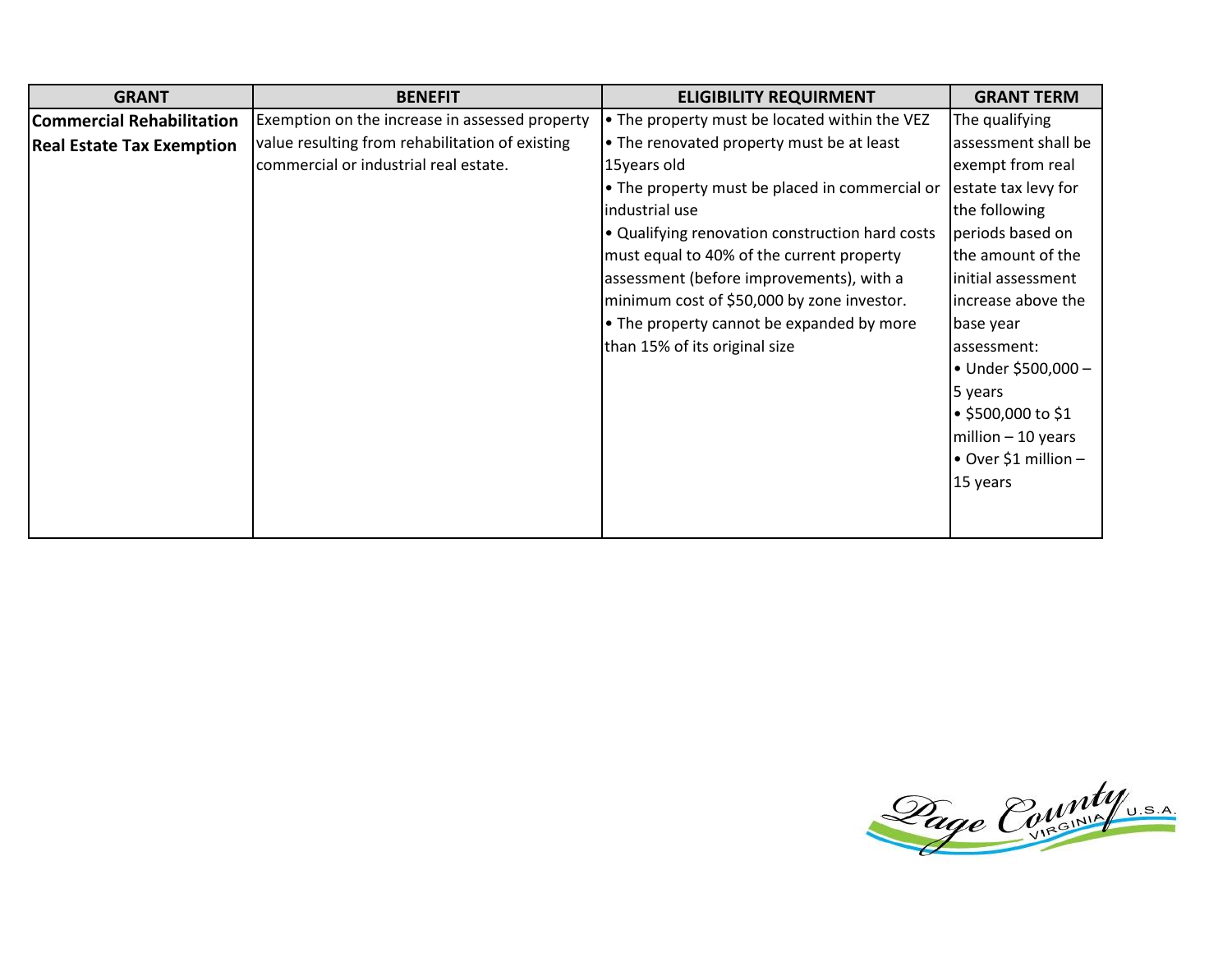| <b>GRANT</b>                     | <b>BENEFIT</b>                                  | <b>ELIGIBILITY REQUIRMENT</b>                   | <b>GRANT TERM</b>    |
|----------------------------------|-------------------------------------------------|-------------------------------------------------|----------------------|
| <b>Commercial Rehabilitation</b> | Exemption on the increase in assessed property  | . The property must be located within the VEZ   | The qualifying       |
| <b>Real Estate Tax Exemption</b> | value resulting from rehabilitation of existing | • The renovated property must be at least       | assessment shall be  |
|                                  | commercial or industrial real estate.           | 15years old                                     | exempt from real     |
|                                  |                                                 | • The property must be placed in commercial or  | estate tax levy for  |
|                                  |                                                 | industrial use                                  | the following        |
|                                  |                                                 | . Qualifying renovation construction hard costs | periods based on     |
|                                  |                                                 | must equal to 40% of the current property       | the amount of the    |
|                                  |                                                 | assessment (before improvements), with a        | initial assessment   |
|                                  |                                                 | minimum cost of \$50,000 by zone investor.      | increase above the   |
|                                  |                                                 | • The property cannot be expanded by more       | base year            |
|                                  |                                                 | than 15% of its original size                   | lassessment:         |
|                                  |                                                 |                                                 | • Under \$500,000 -  |
|                                  |                                                 |                                                 | 5 years              |
|                                  |                                                 |                                                 | ● \$500,000 to \$1   |
|                                  |                                                 |                                                 | $million - 10 years$ |
|                                  |                                                 |                                                 | • Over \$1 million - |
|                                  |                                                 |                                                 | 15 years             |
|                                  |                                                 |                                                 |                      |
|                                  |                                                 |                                                 |                      |